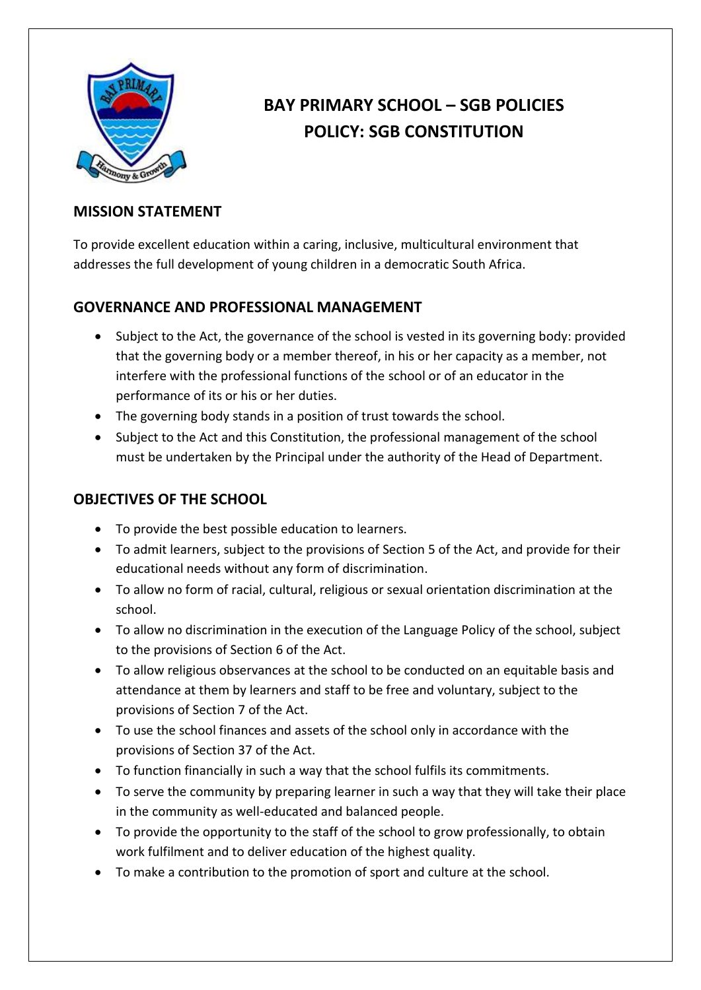

# **BAY PRIMARY SCHOOL – SGB POLICIES POLICY: SGB CONSTITUTION**

#### **MISSION STATEMENT**

To provide excellent education within a caring, inclusive, multicultural environment that addresses the full development of young children in a democratic South Africa.

# **GOVERNANCE AND PROFESSIONAL MANAGEMENT**

- Subject to the Act, the governance of the school is vested in its governing body: provided that the governing body or a member thereof, in his or her capacity as a member, not interfere with the professional functions of the school or of an educator in the performance of its or his or her duties.
- The governing body stands in a position of trust towards the school.
- Subject to the Act and this Constitution, the professional management of the school must be undertaken by the Principal under the authority of the Head of Department.

#### **OBJECTIVES OF THE SCHOOL**

- To provide the best possible education to learners.
- To admit learners, subject to the provisions of Section 5 of the Act, and provide for their educational needs without any form of discrimination.
- To allow no form of racial, cultural, religious or sexual orientation discrimination at the school.
- To allow no discrimination in the execution of the Language Policy of the school, subject to the provisions of Section 6 of the Act.
- To allow religious observances at the school to be conducted on an equitable basis and attendance at them by learners and staff to be free and voluntary, subject to the provisions of Section 7 of the Act.
- To use the school finances and assets of the school only in accordance with the provisions of Section 37 of the Act.
- To function financially in such a way that the school fulfils its commitments.
- To serve the community by preparing learner in such a way that they will take their place in the community as well-educated and balanced people.
- To provide the opportunity to the staff of the school to grow professionally, to obtain work fulfilment and to deliver education of the highest quality.
- To make a contribution to the promotion of sport and culture at the school.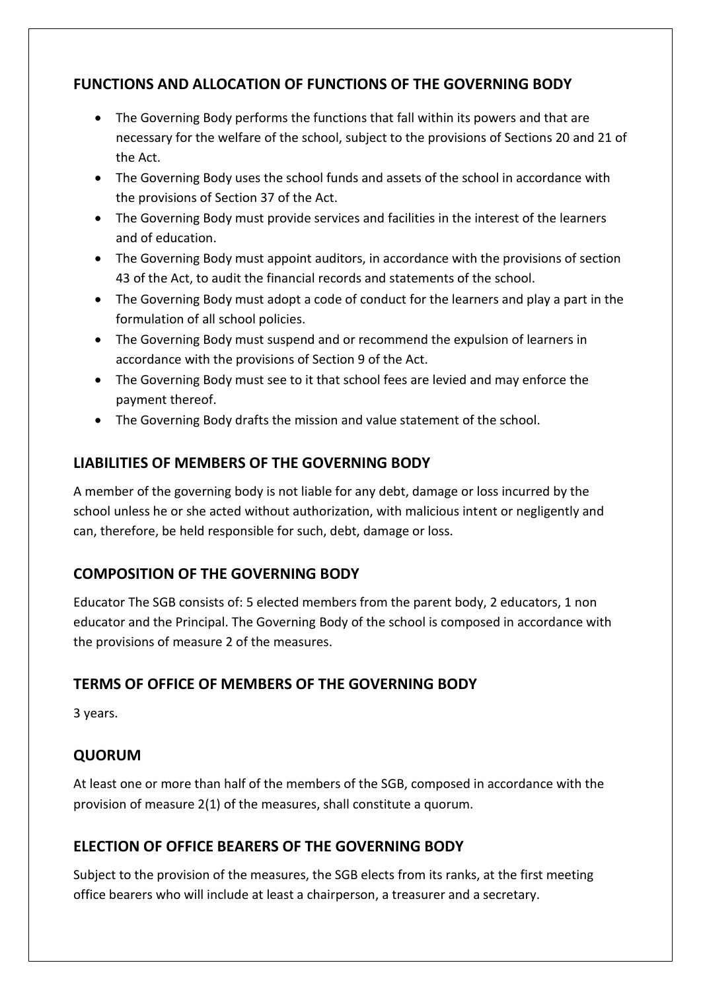# **FUNCTIONS AND ALLOCATION OF FUNCTIONS OF THE GOVERNING BODY**

- The Governing Body performs the functions that fall within its powers and that are necessary for the welfare of the school, subject to the provisions of Sections 20 and 21 of the Act.
- The Governing Body uses the school funds and assets of the school in accordance with the provisions of Section 37 of the Act.
- The Governing Body must provide services and facilities in the interest of the learners and of education.
- The Governing Body must appoint auditors, in accordance with the provisions of section 43 of the Act, to audit the financial records and statements of the school.
- The Governing Body must adopt a code of conduct for the learners and play a part in the formulation of all school policies.
- The Governing Body must suspend and or recommend the expulsion of learners in accordance with the provisions of Section 9 of the Act.
- The Governing Body must see to it that school fees are levied and may enforce the payment thereof.
- The Governing Body drafts the mission and value statement of the school.

# **LIABILITIES OF MEMBERS OF THE GOVERNING BODY**

A member of the governing body is not liable for any debt, damage or loss incurred by the school unless he or she acted without authorization, with malicious intent or negligently and can, therefore, be held responsible for such, debt, damage or loss.

# **COMPOSITION OF THE GOVERNING BODY**

Educator The SGB consists of: 5 elected members from the parent body, 2 educators, 1 non educator and the Principal. The Governing Body of the school is composed in accordance with the provisions of measure 2 of the measures.

# **TERMS OF OFFICE OF MEMBERS OF THE GOVERNING BODY**

3 years.

# **QUORUM**

At least one or more than half of the members of the SGB, composed in accordance with the provision of measure 2(1) of the measures, shall constitute a quorum.

# **ELECTION OF OFFICE BEARERS OF THE GOVERNING BODY**

Subject to the provision of the measures, the SGB elects from its ranks, at the first meeting office bearers who will include at least a chairperson, a treasurer and a secretary.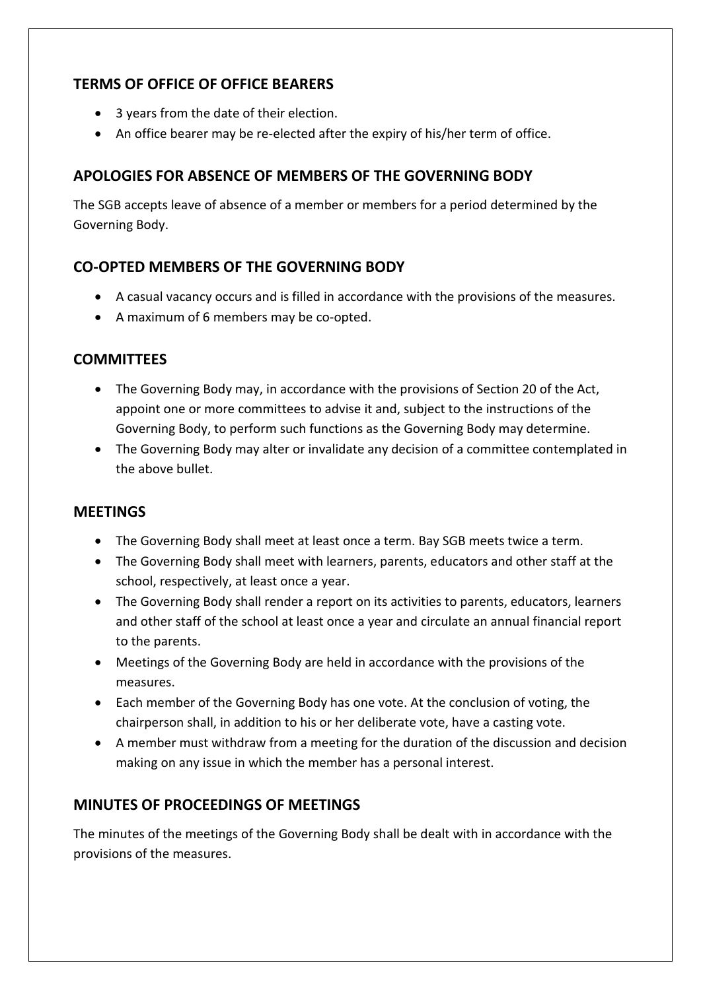#### **TERMS OF OFFICE OF OFFICE BEARERS**

- 3 years from the date of their election.
- An office bearer may be re-elected after the expiry of his/her term of office.

#### **APOLOGIES FOR ABSENCE OF MEMBERS OF THE GOVERNING BODY**

The SGB accepts leave of absence of a member or members for a period determined by the Governing Body.

# **CO-OPTED MEMBERS OF THE GOVERNING BODY**

- A casual vacancy occurs and is filled in accordance with the provisions of the measures.
- A maximum of 6 members may be co-opted.

#### **COMMITTEES**

- The Governing Body may, in accordance with the provisions of Section 20 of the Act, appoint one or more committees to advise it and, subject to the instructions of the Governing Body, to perform such functions as the Governing Body may determine.
- The Governing Body may alter or invalidate any decision of a committee contemplated in the above bullet.

#### **MEETINGS**

- The Governing Body shall meet at least once a term. Bay SGB meets twice a term.
- The Governing Body shall meet with learners, parents, educators and other staff at the school, respectively, at least once a year.
- The Governing Body shall render a report on its activities to parents, educators, learners and other staff of the school at least once a year and circulate an annual financial report to the parents.
- Meetings of the Governing Body are held in accordance with the provisions of the measures.
- Each member of the Governing Body has one vote. At the conclusion of voting, the chairperson shall, in addition to his or her deliberate vote, have a casting vote.
- A member must withdraw from a meeting for the duration of the discussion and decision making on any issue in which the member has a personal interest.

# **MINUTES OF PROCEEDINGS OF MEETINGS**

The minutes of the meetings of the Governing Body shall be dealt with in accordance with the provisions of the measures.